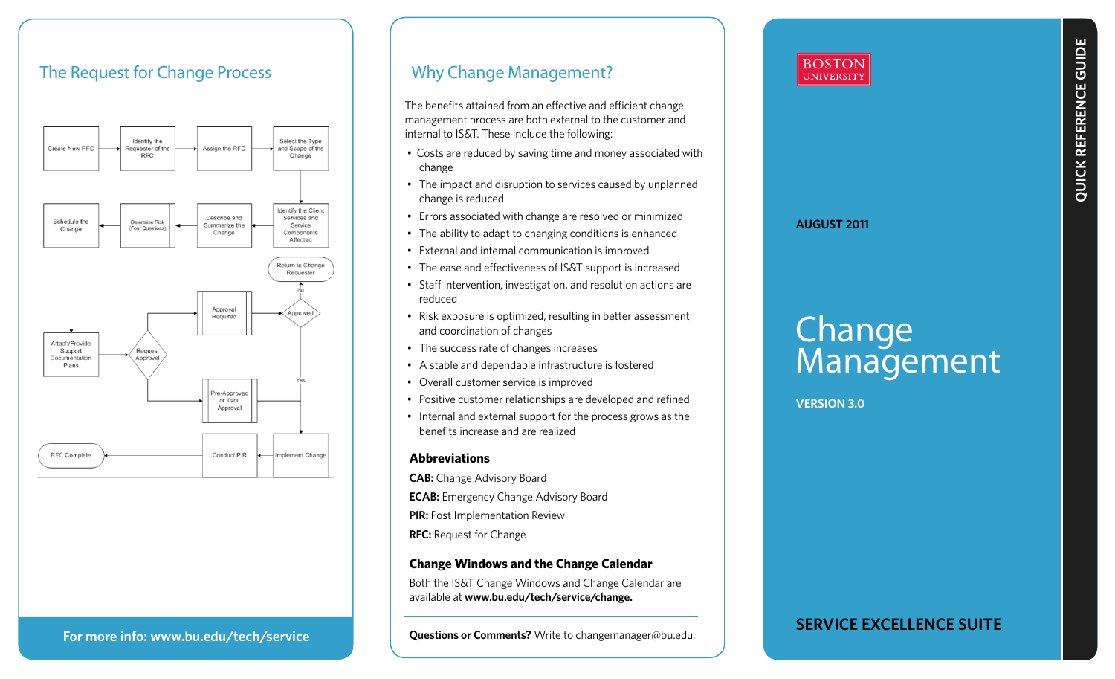## The Request for Change Process



## Why Change Management?

The benefits attained from an effective and efficient change management process are both external to the customer and internal to IS&T. These include the following:

- Costs are reduced by saving time and money associated with change
- The impact and disruption to services caused by unplanned change is reduced
- Errors associated with change are resolved or minimized
- The ability to adapt to changing conditions is enhanced
- External and internal communication is improved
- The ease and effectiveness of IS&T support is increased
- Staff intervention, investigation, and resolution actions are reduced
- Risk exposure is optimized, resulting in better assessment and coordination of changes
- The success rate of changes increases
- A stable and dependable infrastructure is fostered
- Overall customer service is improved
- Positive customer relationships are developed and refined
- Internal and external support for the process grows as the benefits increase and are realized

#### **Abbreviations**

**CAB:** Change Advisory Board **ECAB:** Emergency Change Advisory Board **PIR: Post Implementation Review RFC:** Request for Change

#### **Change Windows and the Change Calendar**

Both the IS&T Change Windows and Change Calendar are available at **www.bu.edu/tech/service/change.**

**Questions or Comments?** Write to changemanager@bu.edu.

#### **AUGUST 2011**

**BOSTON UNIVERSITY** 

# **Change** Management

**Version 3.0**

### **For more info: www.bu.edu/tech/service**

**Service excellence suite**